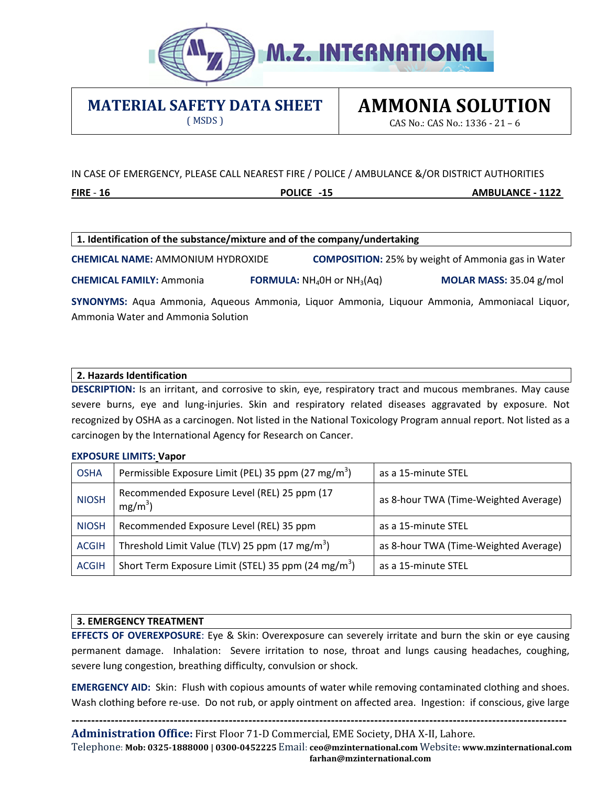

### **MATERIAL SAFETY DATA SHEET**

( MSDS )

# **AMMONIA SOLUTION**

CAS No.: CAS No.: 1336 - 21 – 6

#### IN CASE OF EMERGENCY, PLEASE CALL NEAREST FIRE / POLICE / AMBULANCE &/OR DISTRICT AUTHORITIES

**FIRE** - **16 POLICE -15 AMBULANCE - 1122**

| 1. Identification of the substance/mixture and of the company/undertaking                    |  |                                                           |  |                         |
|----------------------------------------------------------------------------------------------|--|-----------------------------------------------------------|--|-------------------------|
| <b>CHEMICAL NAME: AMMONIUM HYDROXIDE</b>                                                     |  | <b>COMPOSITION:</b> 25% by weight of Ammonia gas in Water |  |                         |
| <b>CHEMICAL FAMILY: Ammonia</b>                                                              |  | <b>FORMULA:</b> $NH_4OH$ or $NH_3(Aq)$                    |  | MOLAR MASS: 35.04 g/mol |
| SYNONYMS: Aqua Ammonia, Aqueous Ammonia, Liquor Ammonia, Liquour Ammonia, Ammoniacal Liquor, |  |                                                           |  |                         |
| Ammonia Water and Ammonia Solution                                                           |  |                                                           |  |                         |

**2. Hazards Identification**

**DESCRIPTION:** Is an irritant, and corrosive to skin, eye, respiratory tract and mucous membranes. May cause severe burns, eye and lung-injuries. Skin and respiratory related diseases aggravated by exposure. Not recognized by OSHA as a carcinogen. Not listed in the National Toxicology Program annual report. Not listed as a carcinogen by the International Agency for Research on Cancer.

#### **EXPOSURE LIMITS: Vapor**

| <b>OSHA</b>  | Permissible Exposure Limit (PEL) 35 ppm (27 mg/m <sup>3</sup> ) | as a 15-minute STEL                   |
|--------------|-----------------------------------------------------------------|---------------------------------------|
| <b>NIOSH</b> | Recommended Exposure Level (REL) 25 ppm (17<br>$mg/m^3$ )       | as 8-hour TWA (Time-Weighted Average) |
| <b>NIOSH</b> | Recommended Exposure Level (REL) 35 ppm                         | as a 15-minute STEL                   |
| <b>ACGIH</b> | Threshold Limit Value (TLV) 25 ppm (17 mg/m <sup>3</sup> )      | as 8-hour TWA (Time-Weighted Average) |
| <b>ACGIH</b> | Short Term Exposure Limit (STEL) 35 ppm (24 mg/m <sup>3</sup> ) | as a 15-minute STEL                   |

#### **3. EMERGENCY TREATMENT**

**EFFECTS OF OVEREXPOSURE**: Eye & Skin: Overexposure can severely irritate and burn the skin or eye causing permanent damage. Inhalation: Severe irritation to nose, throat and lungs causing headaches, coughing, severe lung congestion, breathing difficulty, convulsion or shock.

**EMERGENCY AID:** Skin: Flush with copious amounts of water while removing contaminated clothing and shoes. Wash clothing before re-use. Do not rub, or apply ointment on affected area. Ingestion: if conscious, give large

**------------------------------------------------------------------------------------------------------------------------------** 

**Administration Office:** First Floor 71-D Commercial, EME Society, DHA X-II, Lahore. Telephone: **Mob: 0325-1888000 | 0300-0452225** Email: **ceo@[mzinternationa](mailto:mail@mysoreammonia.com)l.com** Website**: www.mzinternational.com farhan@mzinternational.com**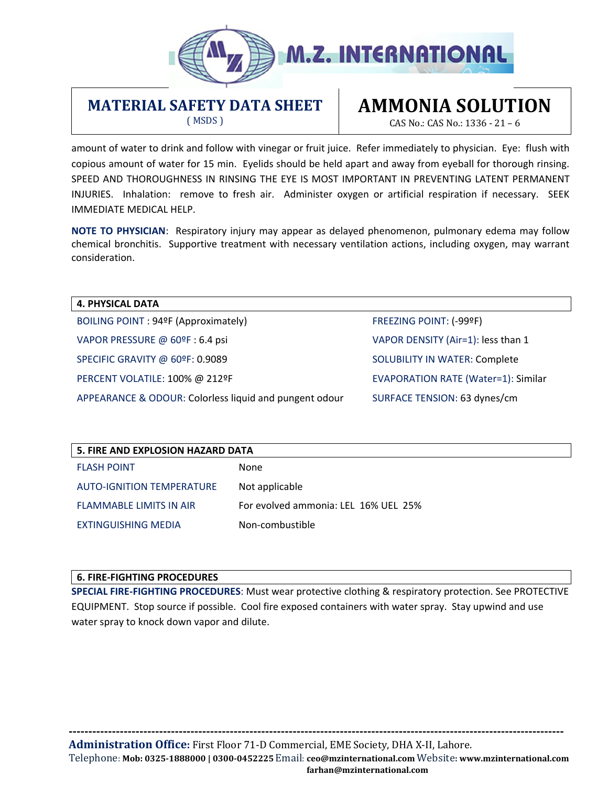

#### **MATERIAL SAFETY DATA SHEET** ( MSDS )

# **AMMONIA SOLUTION**

CAS No.: CAS No.: 1336 - 21 – 6

amount of water to drink and follow with vinegar or fruit juice. Refer immediately to physician. Eye: flush with copious amount of water for 15 min. Eyelids should be held apart and away from eyeball for thorough rinsing. SPEED AND THOROUGHNESS IN RINSING THE EYE IS MOST IMPORTANT IN PREVENTING LATENT PERMANENT INJURIES. Inhalation: remove to fresh air. Administer oxygen or artificial respiration if necessary. SEEK IMMEDIATE MEDICAL HELP.

**NOTE TO PHYSICIAN**: Respiratory injury may appear as delayed phenomenon, pulmonary edema may follow chemical bronchitis. Supportive treatment with necessary ventilation actions, including oxygen, may warrant consideration.

**4. PHYSICAL DATA** BOILING POINT : 94ºF (Approximately) FREEZING POINT: (-99ºF) VAPOR PRESSURE @ 60ºF : 6.4 psi VAPOR DENSITY (Air=1): less than 1 SPECIFIC GRAVITY @ 60ºF: 0.9089 SOLUBILITY IN WATER: Complete PERCENT VOLATILE: 100% @ 212ºF THE RESERVIATION RATE (Water=1): Similar APPEARANCE & ODOUR: Colorless liquid and pungent odour SURFACE TENSION: 63 dynes/cm

| 5. FIRE AND EXPLOSION HAZARD DATA |                                      |  |  |
|-----------------------------------|--------------------------------------|--|--|
| <b>FLASH POINT</b>                | None                                 |  |  |
| <b>AUTO-IGNITION TEMPERATURE</b>  | Not applicable                       |  |  |
| <b>FLAMMABLE LIMITS IN AIR</b>    | For evolved ammonia: LEL 16% UEL 25% |  |  |
| EXTINGUISHING MEDIA               | Non-combustible                      |  |  |

#### **6. FIRE-FIGHTING PROCEDURES**

**SPECIAL FIRE-FIGHTING PROCEDURES**: Must wear protective clothing & respiratory protection. See PROTECTIVE EQUIPMENT. Stop source if possible. Cool fire exposed containers with water spray. Stay upwind and use water spray to knock down vapor and dilute.

**Administration Office:** First Floor 71-D [Commercial, EME Society, D](mailto:mail@mysoreammonia.com)HA X-II, Lahore. Telephone: **Mob: 0325-1888000 | 0300-0452225** Email: **ceo@mzinternational.com** Website**: www.mzinternational.com farhan@mzinternational.com**

**------------------------------------------------------------------------------------------------------------------------------**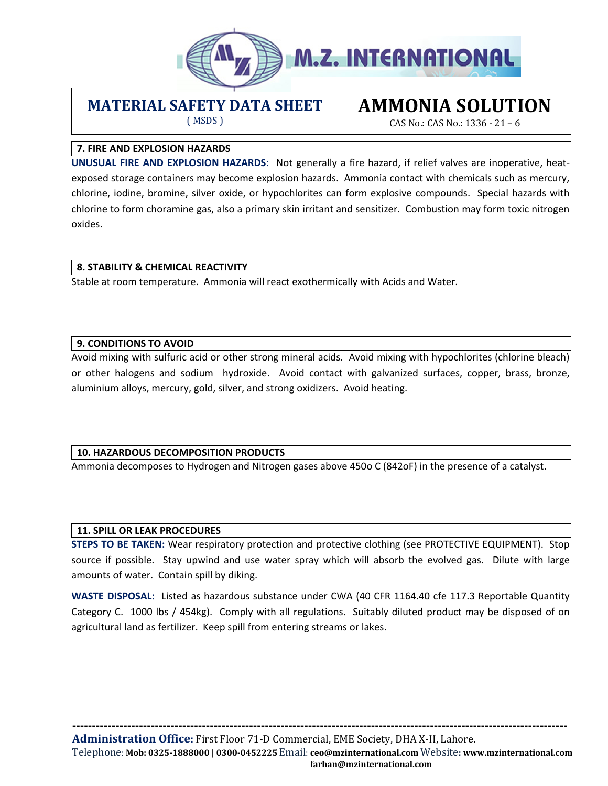

### **MATERIAL SAFETY DATA SHEET**

( MSDS )

## **AMMONIA SOLUTION**

CAS No.: CAS No.: 1336 - 21 – 6

#### **7. FIRE AND EXPLOSION HAZARDS**

**UNUSUAL FIRE AND EXPLOSION HAZARDS**: Not generally a fire hazard, if relief valves are inoperative, heatexposed storage containers may become explosion hazards. Ammonia contact with chemicals such as mercury, chlorine, iodine, bromine, silver oxide, or hypochlorites can form explosive compounds. Special hazards with chlorine to form choramine gas, also a primary skin irritant and sensitizer. Combustion may form toxic nitrogen oxides.

#### **8. STABILITY & CHEMICAL REACTIVITY**

Stable at room temperature. Ammonia will react exothermically with Acids and Water.

#### **9. CONDITIONS TO AVOID**

Avoid mixing with sulfuric acid or other strong mineral acids. Avoid mixing with hypochlorites (chlorine bleach) or other halogens and sodium hydroxide. Avoid contact with galvanized surfaces, copper, brass, bronze, aluminium alloys, mercury, gold, silver, and strong oxidizers. Avoid heating.

#### **10. HAZARDOUS DECOMPOSITION PRODUCTS**

Ammonia decomposes to Hydrogen and Nitrogen gases above 450o C (842oF) in the presence of a catalyst.

#### **11. SPILL OR LEAK PROCEDURES**

**STEPS TO BE TAKEN:** Wear respiratory protection and protective clothing (see PROTECTIVE EQUIPMENT). Stop source if possible. Stay upwind and use water spray which will absorb the evolved gas. Dilute with large amounts of water. Contain spill by diking.

**WASTE DISPOSAL:** Listed as hazardous substance under CWA (40 CFR 1164.40 cfe 117.3 Reportable Quantity Category C. 1000 lbs / 454kg). Comply with all regulations. Suitably diluted product may be disposed of on agricultural land as fertilizer. Keep spill from entering streams or lakes.

**------------------------------------------------------------------------------------------------------------------------------** 

**Administration Office:** First Floor 71-D [Commercial, EME Society,](mailto:mail@mysoreammonia.com) DHA X-II, Lahore.

Telephone: **Mob: 0325-1888000 | 0300-0452225** Email: **ceo@mzinternational.com** Website**: www.mzinternational.com farhan@mzinternational.com**